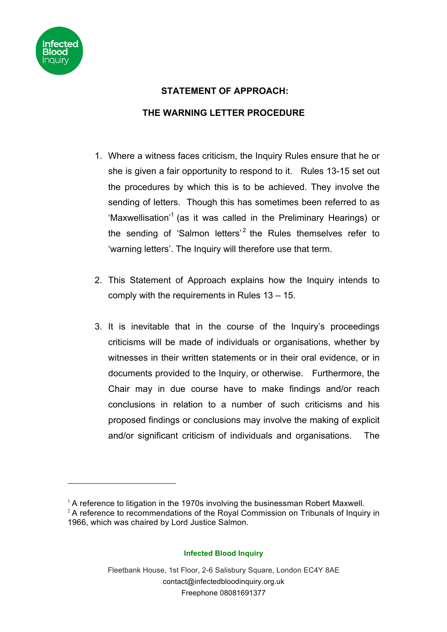

 $\overline{a}$ 

## **STATEMENT OF APPROACH:**

## **THE WARNING LETTER PROCEDURE**

- 1. Where a witness faces criticism, the Inquiry Rules ensure that he or she is given a fair opportunity to respond to it. Rules 13-15 set out the procedures by which this is to be achieved. They involve the sending of letters. Though this has sometimes been referred to as 'Maxwellisation'<sup>1</sup> (as it was called in the Preliminary Hearings) or the sending of 'Salmon letters'<sup>2</sup> the Rules themselves refer to 'warning letters'. The Inquiry will therefore use that term.
- 2. This Statement of Approach explains how the Inquiry intends to comply with the requirements in Rules 13 – 15.
- 3. It is inevitable that in the course of the Inquiry's proceedings criticisms will be made of individuals or organisations, whether by witnesses in their written statements or in their oral evidence, or in documents provided to the Inquiry, or otherwise. Furthermore, the Chair may in due course have to make findings and/or reach conclusions in relation to a number of such criticisms and his proposed findings or conclusions may involve the making of explicit and/or significant criticism of individuals and organisations. The

## **Infected Blood Inquiry**

 $1$  A reference to litigation in the 1970s involving the businessman Robert Maxwell.

<sup>&</sup>lt;sup>2</sup> A reference to recommendations of the Royal Commission on Tribunals of Inquiry in 1966, which was chaired by Lord Justice Salmon.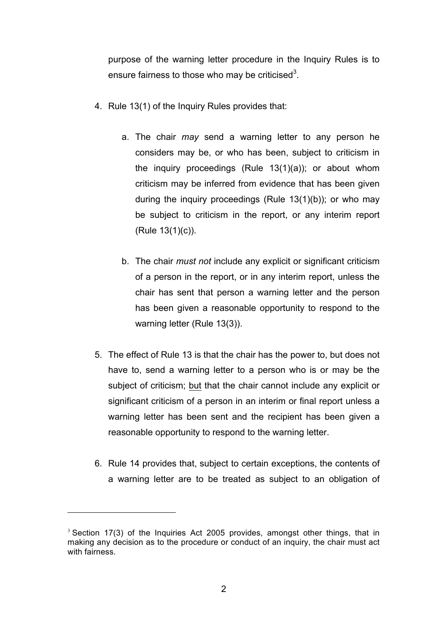purpose of the warning letter procedure in the Inquiry Rules is to ensure fairness to those who may be criticised<sup>3</sup>.

- 4. Rule 13(1) of the Inquiry Rules provides that:
	- a. The chair *may* send a warning letter to any person he considers may be, or who has been, subject to criticism in the inquiry proceedings (Rule 13(1)(a)); or about whom criticism may be inferred from evidence that has been given during the inquiry proceedings (Rule 13(1)(b)); or who may be subject to criticism in the report, or any interim report (Rule 13(1)(c)).
	- b. The chair *must not* include any explicit or significant criticism of a person in the report, or in any interim report, unless the chair has sent that person a warning letter and the person has been given a reasonable opportunity to respond to the warning letter (Rule 13(3)).
- 5. The effect of Rule 13 is that the chair has the power to, but does not have to, send a warning letter to a person who is or may be the subject of criticism; but that the chair cannot include any explicit or significant criticism of a person in an interim or final report unless a warning letter has been sent and the recipient has been given a reasonable opportunity to respond to the warning letter.
- 6. Rule 14 provides that, subject to certain exceptions, the contents of a warning letter are to be treated as subject to an obligation of

 $\overline{a}$ 

 $3$  Section 17(3) of the Inquiries Act 2005 provides, amongst other things, that in making any decision as to the procedure or conduct of an inquiry, the chair must act with fairness.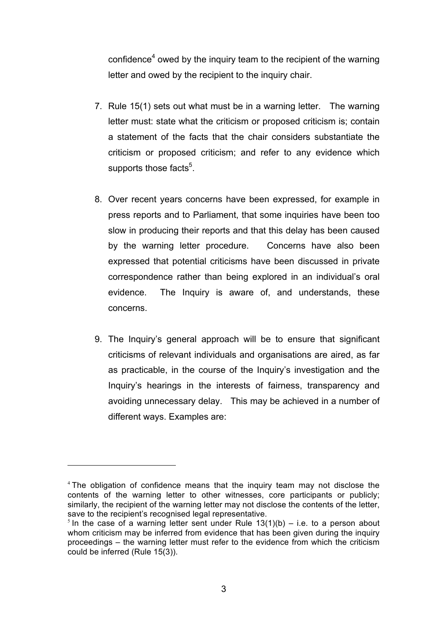confidence<sup>4</sup> owed by the inquiry team to the recipient of the warning letter and owed by the recipient to the inquiry chair.

- 7. Rule 15(1) sets out what must be in a warning letter. The warning letter must: state what the criticism or proposed criticism is; contain a statement of the facts that the chair considers substantiate the criticism or proposed criticism; and refer to any evidence which supports those facts ${}^5$ .
- 8. Over recent years concerns have been expressed, for example in press reports and to Parliament, that some inquiries have been too slow in producing their reports and that this delay has been caused by the warning letter procedure. Concerns have also been expressed that potential criticisms have been discussed in private correspondence rather than being explored in an individual's oral evidence. The Inquiry is aware of, and understands, these concerns.
- 9. The Inquiry's general approach will be to ensure that significant criticisms of relevant individuals and organisations are aired, as far as practicable, in the course of the Inquiry's investigation and the Inquiry's hearings in the interests of fairness, transparency and avoiding unnecessary delay. This may be achieved in a number of different ways. Examples are:

 $\overline{a}$ 

<sup>&</sup>lt;sup>4</sup> The obligation of confidence means that the inquiry team may not disclose the contents of the warning letter to other witnesses, core participants or publicly; similarly, the recipient of the warning letter may not disclose the contents of the letter, save to the recipient's recognised legal representative.

<sup>&</sup>lt;sup>5</sup> In the case of a warning letter sent under Rule  $13(1)(b) - i.e.$  to a person about whom criticism may be inferred from evidence that has been given during the inquiry proceedings – the warning letter must refer to the evidence from which the criticism could be inferred (Rule 15(3)).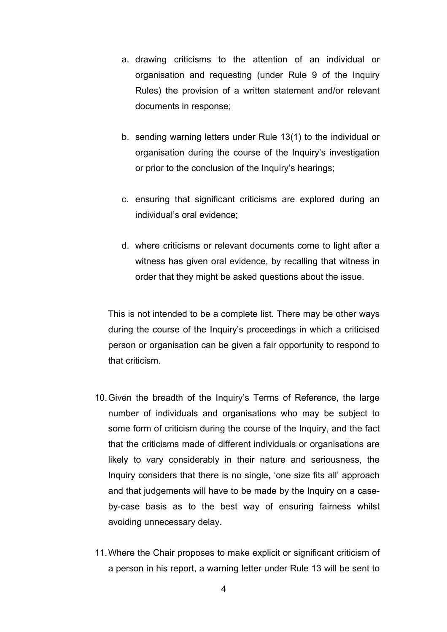- a. drawing criticisms to the attention of an individual or organisation and requesting (under Rule 9 of the Inquiry Rules) the provision of a written statement and/or relevant documents in response;
- b. sending warning letters under Rule 13(1) to the individual or organisation during the course of the Inquiry's investigation or prior to the conclusion of the Inquiry's hearings;
- c. ensuring that significant criticisms are explored during an individual's oral evidence;
- d. where criticisms or relevant documents come to light after a witness has given oral evidence, by recalling that witness in order that they might be asked questions about the issue.

This is not intended to be a complete list. There may be other ways during the course of the Inquiry's proceedings in which a criticised person or organisation can be given a fair opportunity to respond to that criticism.

- 10.Given the breadth of the Inquiry's Terms of Reference, the large number of individuals and organisations who may be subject to some form of criticism during the course of the Inquiry, and the fact that the criticisms made of different individuals or organisations are likely to vary considerably in their nature and seriousness, the Inquiry considers that there is no single, 'one size fits all' approach and that judgements will have to be made by the Inquiry on a caseby-case basis as to the best way of ensuring fairness whilst avoiding unnecessary delay.
- 11.Where the Chair proposes to make explicit or significant criticism of a person in his report, a warning letter under Rule 13 will be sent to